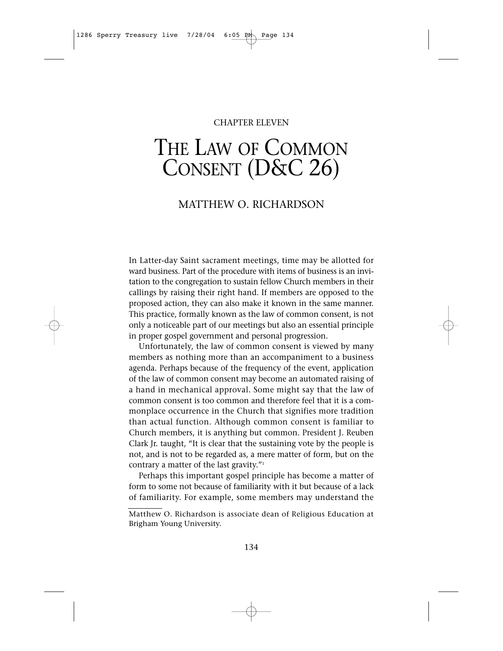### CHAPTER ELEVEN

# THE LAW OF COMMON CONSENT (D&C 26)

## MATTHEW O. RICHARDSON

In Latter-day Saint sacrament meetings, time may be allotted for ward business. Part of the procedure with items of business is an invitation to the congregation to sustain fellow Church members in their callings by raising their right hand. If members are opposed to the proposed action, they can also make it known in the same manner. This practice, formally known as the law of common consent, is not only a noticeable part of our meetings but also an essential principle in proper gospel government and personal progression.

Unfortunately, the law of common consent is viewed by many members as nothing more than an accompaniment to a business agenda. Perhaps because of the frequency of the event, application of the law of common consent may become an automated raising of a hand in mechanical approval. Some might say that the law of common consent is too common and therefore feel that it is a commonplace occurrence in the Church that signifies more tradition than actual function. Although common consent is familiar to Church members, it is anything but common. President J. Reuben Clark Jr. taught, "It is clear that the sustaining vote by the people is not, and is not to be regarded as, a mere matter of form, but on the contrary a matter of the last gravity."<sup>1</sup>

Perhaps this important gospel principle has become a matter of form to some not because of familiarity with it but because of a lack of familiarity. For example, some members may understand the

Matthew O. Richardson is associate dean of Religious Education at Brigham Young University.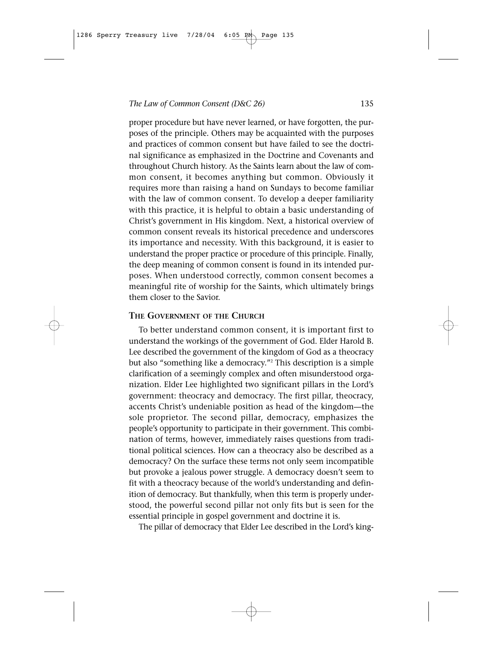proper procedure but have never learned, or have forgotten, the purposes of the principle. Others may be acquainted with the purposes and practices of common consent but have failed to see the doctrinal significance as emphasized in the Doctrine and Covenants and throughout Church history. As the Saints learn about the law of common consent, it becomes anything but common. Obviously it requires more than raising a hand on Sundays to become familiar with the law of common consent. To develop a deeper familiarity with this practice, it is helpful to obtain a basic understanding of Christ's government in His kingdom. Next, a historical overview of common consent reveals its historical precedence and underscores its importance and necessity. With this background, it is easier to understand the proper practice or procedure of this principle. Finally, the deep meaning of common consent is found in its intended purposes. When understood correctly, common consent becomes a meaningful rite of worship for the Saints, which ultimately brings them closer to the Savior.

#### **THE GOVERNMENT OF THE CHURCH**

To better understand common consent, it is important first to understand the workings of the government of God. Elder Harold B. Lee described the government of the kingdom of God as a theocracy but also "something like a democracy."<sup>2</sup> This description is a simple clarification of a seemingly complex and often misunderstood organization. Elder Lee highlighted two significant pillars in the Lord's government: theocracy and democracy. The first pillar, theocracy, accents Christ's undeniable position as head of the kingdom—the sole proprietor. The second pillar, democracy, emphasizes the people's opportunity to participate in their government. This combination of terms, however, immediately raises questions from traditional political sciences. How can a theocracy also be described as a democracy? On the surface these terms not only seem incompatible but provoke a jealous power struggle. A democracy doesn't seem to fit with a theocracy because of the world's understanding and definition of democracy. But thankfully, when this term is properly understood, the powerful second pillar not only fits but is seen for the essential principle in gospel government and doctrine it is.

The pillar of democracy that Elder Lee described in the Lord's king-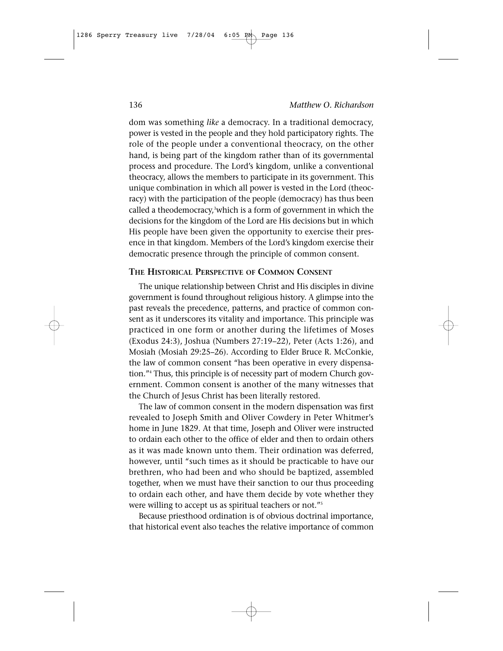#### 136 *Matthew O. Richardson*

dom was something *like* a democracy. In a traditional democracy, power is vested in the people and they hold participatory rights. The role of the people under a conventional theocracy, on the other hand, is being part of the kingdom rather than of its governmental process and procedure. The Lord's kingdom, unlike a conventional theocracy, allows the members to participate in its government. This unique combination in which all power is vested in the Lord (theocracy) with the participation of the people (democracy) has thus been called a theodemocracy, <sup>3</sup>which is a form of government in which the decisions for the kingdom of the Lord are His decisions but in which His people have been given the opportunity to exercise their presence in that kingdom. Members of the Lord's kingdom exercise their democratic presence through the principle of common consent.

### **THE HISTORICAL PERSPECTIVE OF COMMON CONSENT**

The unique relationship between Christ and His disciples in divine government is found throughout religious history. A glimpse into the past reveals the precedence, patterns, and practice of common consent as it underscores its vitality and importance. This principle was practiced in one form or another during the lifetimes of Moses (Exodus 24:3), Joshua (Numbers 27:19–22), Peter (Acts 1:26), and Mosiah (Mosiah 29:25–26). According to Elder Bruce R. McConkie, the law of common consent "has been operative in every dispensation."<sup>4</sup> Thus, this principle is of necessity part of modern Church government. Common consent is another of the many witnesses that the Church of Jesus Christ has been literally restored.

The law of common consent in the modern dispensation was first revealed to Joseph Smith and Oliver Cowdery in Peter Whitmer's home in June 1829. At that time, Joseph and Oliver were instructed to ordain each other to the office of elder and then to ordain others as it was made known unto them. Their ordination was deferred, however, until "such times as it should be practicable to have our brethren, who had been and who should be baptized, assembled together, when we must have their sanction to our thus proceeding to ordain each other, and have them decide by vote whether they were willing to accept us as spiritual teachers or not."<sup>5</sup>

Because priesthood ordination is of obvious doctrinal importance, that historical event also teaches the relative importance of common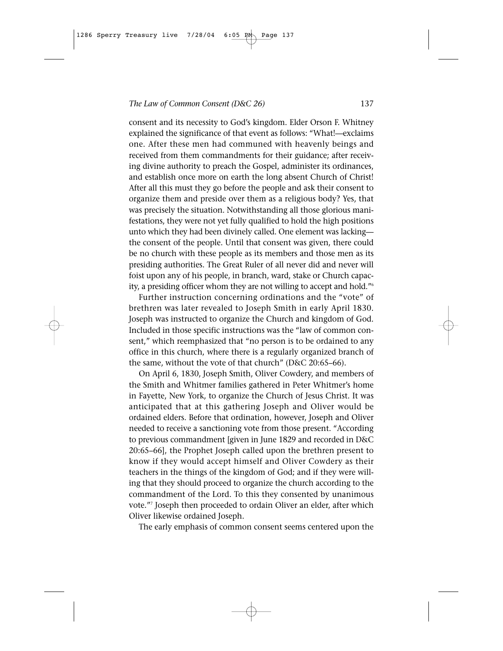consent and its necessity to God's kingdom. Elder Orson F. Whitney explained the significance of that event as follows: "What!—exclaims one. After these men had communed with heavenly beings and received from them commandments for their guidance; after receiving divine authority to preach the Gospel, administer its ordinances, and establish once more on earth the long absent Church of Christ! After all this must they go before the people and ask their consent to organize them and preside over them as a religious body? Yes, that was precisely the situation. Notwithstanding all those glorious manifestations, they were not yet fully qualified to hold the high positions unto which they had been divinely called. One element was lacking the consent of the people. Until that consent was given, there could be no church with these people as its members and those men as its presiding authorities. The Great Ruler of all never did and never will foist upon any of his people, in branch, ward, stake or Church capacity, a presiding officer whom they are not willing to accept and hold."<sup>6</sup>

Further instruction concerning ordinations and the "vote" of brethren was later revealed to Joseph Smith in early April 1830. Joseph was instructed to organize the Church and kingdom of God. Included in those specific instructions was the "law of common consent," which reemphasized that "no person is to be ordained to any office in this church, where there is a regularly organized branch of the same, without the vote of that church" (D&C 20:65–66).

On April 6, 1830, Joseph Smith, Oliver Cowdery, and members of the Smith and Whitmer families gathered in Peter Whitmer's home in Fayette, New York, to organize the Church of Jesus Christ. It was anticipated that at this gathering Joseph and Oliver would be ordained elders. Before that ordination, however, Joseph and Oliver needed to receive a sanctioning vote from those present. "According to previous commandment [given in June 1829 and recorded in D&C 20:65–66], the Prophet Joseph called upon the brethren present to know if they would accept himself and Oliver Cowdery as their teachers in the things of the kingdom of God; and if they were willing that they should proceed to organize the church according to the commandment of the Lord. To this they consented by unanimous vote."<sup>7</sup> Joseph then proceeded to ordain Oliver an elder, after which Oliver likewise ordained Joseph.

The early emphasis of common consent seems centered upon the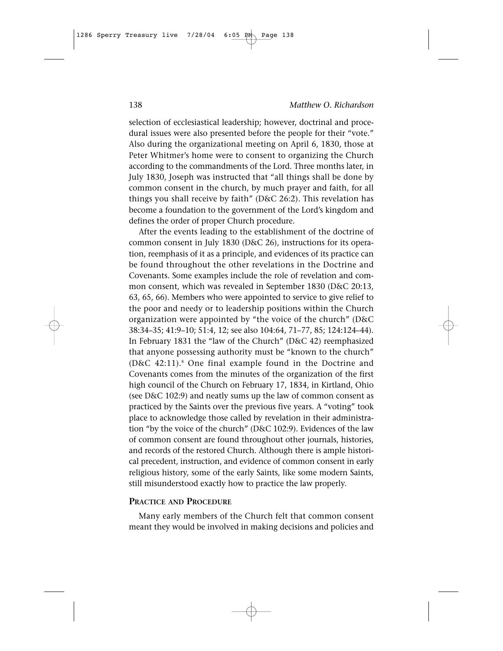#### 138 *Matthew O. Richardson*

selection of ecclesiastical leadership; however, doctrinal and procedural issues were also presented before the people for their "vote." Also during the organizational meeting on April 6, 1830, those at Peter Whitmer's home were to consent to organizing the Church according to the commandments of the Lord. Three months later, in July 1830, Joseph was instructed that "all things shall be done by common consent in the church, by much prayer and faith, for all things you shall receive by faith" (D&C 26:2). This revelation has become a foundation to the government of the Lord's kingdom and defines the order of proper Church procedure.

After the events leading to the establishment of the doctrine of common consent in July 1830 (D&C 26), instructions for its operation, reemphasis of it as a principle, and evidences of its practice can be found throughout the other revelations in the Doctrine and Covenants. Some examples include the role of revelation and common consent, which was revealed in September 1830 (D&C 20:13, 63, 65, 66). Members who were appointed to service to give relief to the poor and needy or to leadership positions within the Church organization were appointed by "the voice of the church" (D&C 38:34–35; 41:9–10; 51:4, 12; see also 104:64, 71–77, 85; 124:124–44). In February 1831 the "law of the Church" (D&C 42) reemphasized that anyone possessing authority must be "known to the church" (D&C 42:11).<sup>8</sup> One final example found in the Doctrine and Covenants comes from the minutes of the organization of the first high council of the Church on February 17, 1834, in Kirtland, Ohio (see D&C 102:9) and neatly sums up the law of common consent as practiced by the Saints over the previous five years. A "voting" took place to acknowledge those called by revelation in their administration "by the voice of the church" (D&C 102:9). Evidences of the law of common consent are found throughout other journals, histories, and records of the restored Church. Although there is ample historical precedent, instruction, and evidence of common consent in early religious history, some of the early Saints, like some modern Saints, still misunderstood exactly how to practice the law properly.

#### **PRACTICE AND PROCEDURE**

Many early members of the Church felt that common consent meant they would be involved in making decisions and policies and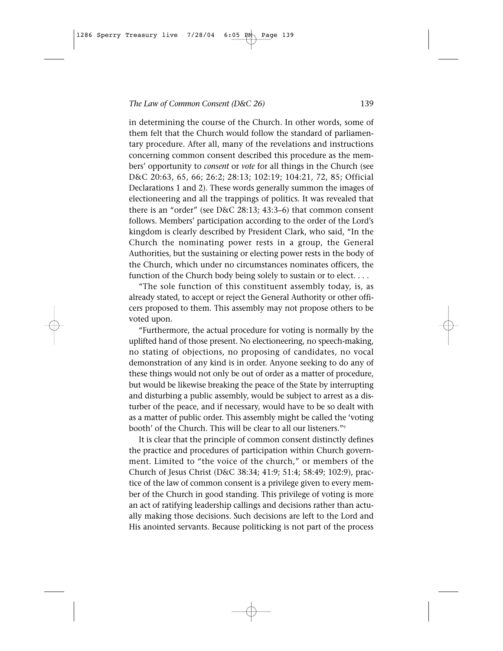in determining the course of the Church. In other words, some of them felt that the Church would follow the standard of parliamentary procedure. After all, many of the revelations and instructions concerning common consent described this procedure as the members' opportunity to *consent* or *vote* for all things in the Church (see D&C 20:63, 65, 66; 26:2; 28:13; 102:19; 104:21, 72, 85; Official Declarations 1 and 2). These words generally summon the images of electioneering and all the trappings of politics. It was revealed that there is an "order" (see D&C 28:13; 43:3–6) that common consent follows. Members' participation according to the order of the Lord's kingdom is clearly described by President Clark, who said, "In the Church the nominating power rests in a group, the General Authorities, but the sustaining or electing power rests in the body of the Church, which under no circumstances nominates officers, the function of the Church body being solely to sustain or to elect....

"The sole function of this constituent assembly today, is, as already stated, to accept or reject the General Authority or other officers proposed to them. This assembly may not propose others to be voted upon.

"Furthermore, the actual procedure for voting is normally by the uplifted hand of those present. No electioneering, no speech-making, no stating of objections, no proposing of candidates, no vocal demonstration of any kind is in order. Anyone seeking to do any of these things would not only be out of order as a matter of procedure, but would be likewise breaking the peace of the State by interrupting and disturbing a public assembly, would be subject to arrest as a disturber of the peace, and if necessary, would have to be so dealt with as a matter of public order. This assembly might be called the 'voting booth' of the Church. This will be clear to all our listeners."<sup>9</sup>

It is clear that the principle of common consent distinctly defines the practice and procedures of participation within Church government. Limited to "the voice of the church," or members of the Church of Jesus Christ (D&C 38:34; 41:9; 51:4; 58:49; 102:9), practice of the law of common consent is a privilege given to every member of the Church in good standing. This privilege of voting is more an act of ratifying leadership callings and decisions rather than actually making those decisions. Such decisions are left to the Lord and His anointed servants. Because politicking is not part of the process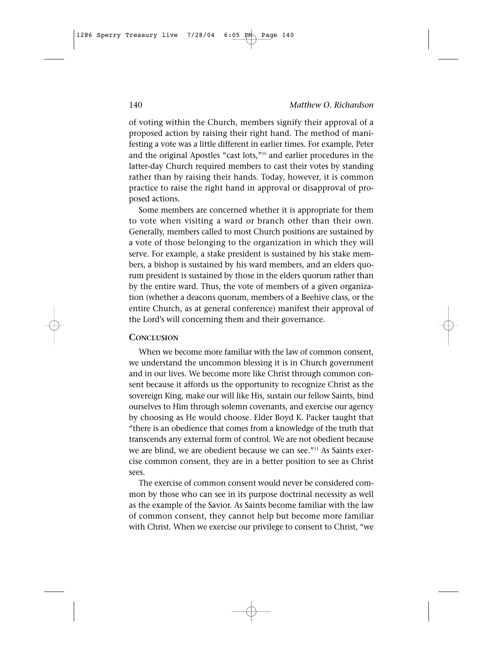#### 140 *Matthew O. Richardson*

of voting within the Church, members signify their approval of a proposed action by raising their right hand. The method of manifesting a vote was a little different in earlier times. For example, Peter and the original Apostles "cast lots,"<sup>10</sup> and earlier procedures in the latter-day Church required members to cast their votes by standing rather than by raising their hands. Today, however, it is common practice to raise the right hand in approval or disapproval of proposed actions.

Some members are concerned whether it is appropriate for them to vote when visiting a ward or branch other than their own. Generally, members called to most Church positions are sustained by a vote of those belonging to the organization in which they will serve. For example, a stake president is sustained by his stake members, a bishop is sustained by his ward members, and an elders quorum president is sustained by those in the elders quorum rather than by the entire ward. Thus, the vote of members of a given organization (whether a deacons quorum, members of a Beehive class, or the entire Church, as at general conference) manifest their approval of the Lord's will concerning them and their governance.

### **CONCLUSION**

When we become more familiar with the law of common consent, we understand the uncommon blessing it is in Church government and in our lives. We become more like Christ through common consent because it affords us the opportunity to recognize Christ as the sovereign King, make our will like His, sustain our fellow Saints, bind ourselves to Him through solemn covenants, and exercise our agency by choosing as He would choose. Elder Boyd K. Packer taught that "there is an obedience that comes from a knowledge of the truth that transcends any external form of control. We are not obedient because we are blind, we are obedient because we can see."<sup>11</sup> As Saints exercise common consent, they are in a better position to see as Christ sees.

The exercise of common consent would never be considered common by those who can see in its purpose doctrinal necessity as well as the example of the Savior. As Saints become familiar with the law of common consent, they cannot help but become more familiar with Christ. When we exercise our privilege to consent to Christ, "we